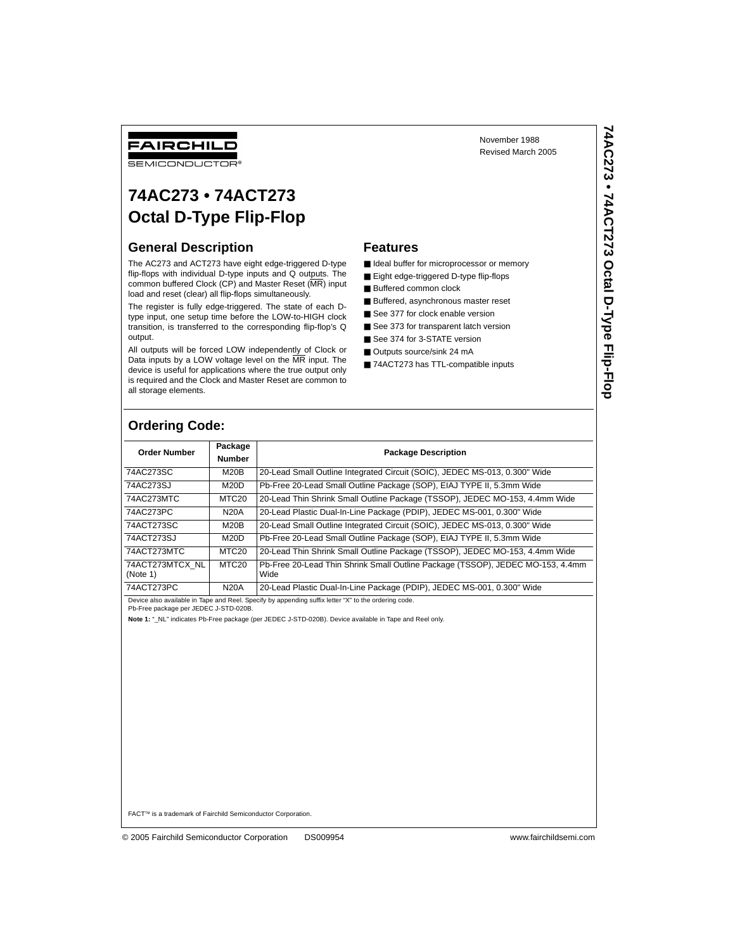## FAIRCHILD

**SEMICONDUCTOR** 

# **74AC273 • 74ACT273 Octal D-Type Flip-Flop**

#### **General Description**

The AC273 and ACT273 have eight edge-triggered D-type flip-flops with individual D-type inputs and Q outputs. The common buffered Clock (CP) and Master Reset (MR) input load and reset (clear) all flip-flops simultaneously.

The register is fully edge-triggered. The state of each Dtype input, one setup time before the LOW-to-HIGH clock transition, is transferred to the corresponding flip-flop's Q output.

All outputs will be forced LOW independently of Clock or Data inputs by a LOW voltage level on the MR input. The device is useful for applications where the true output only is required and the Clock and Master Reset are common to all storage elements.

#### **Features**

■ Ideal buffer for microprocessor or memory

November 1988 Revised March 2005

- Eight edge-triggered D-type flip-flops
- Buffered common clock
- Buffered, asynchronous master reset
- See 377 for clock enable version
- See 373 for transparent latch version
- See 374 for 3-STATE version
- Outputs source/sink 24 mA
- 74ACT273 has TTL-compatible inputs

### **Ordering Code:**

| <b>Order Number</b>         | Package<br><b>Number</b> | <b>Package Description</b>                                                             |
|-----------------------------|--------------------------|----------------------------------------------------------------------------------------|
| 74AC273SC                   | M20B                     | 20-Lead Small Outline Integrated Circuit (SOIC), JEDEC MS-013, 0.300" Wide             |
| 74AC273SJ                   | M20D                     | Pb-Free 20-Lead Small Outline Package (SOP), EIAJ TYPE II, 5.3mm Wide                  |
| 74AC273MTC                  | MTC <sub>20</sub>        | 20-Lead Thin Shrink Small Outline Package (TSSOP), JEDEC MO-153, 4.4mm Wide            |
| 74AC273PC                   | <b>N20A</b>              | 20-Lead Plastic Dual-In-Line Package (PDIP), JEDEC MS-001, 0.300" Wide                 |
| 74ACT273SC                  | M20B                     | 20-Lead Small Outline Integrated Circuit (SOIC), JEDEC MS-013, 0.300" Wide             |
| 74ACT273SJ                  | M20D                     | Pb-Free 20-Lead Small Outline Package (SOP), EIAJ TYPE II, 5.3mm Wide                  |
| 74ACT273MTC                 | MTC <sub>20</sub>        | 20-Lead Thin Shrink Small Outline Package (TSSOP), JEDEC MO-153, 4.4mm Wide            |
| 74ACT273MTCX NL<br>(Note 1) | MTC <sub>20</sub>        | Pb-Free 20-Lead Thin Shrink Small Outline Package (TSSOP), JEDEC MO-153, 4.4mm<br>Wide |
| 74ACT273PC                  | <b>N20A</b>              | 20-Lead Plastic Dual-In-Line Package (PDIP), JEDEC MS-001, 0.300" Wide                 |

Device also available in Tape and Reel. Specify by appending suffix letter "X" to the ordering code.

Pb-Free package per JEDEC J-STD-020B.

Note 1: " NL" indicates Pb-Free package (per JEDEC J-STD-020B). Device available in Tape and Reel only.

FACT™ is a trademark of Fairchild Semiconductor Corporation.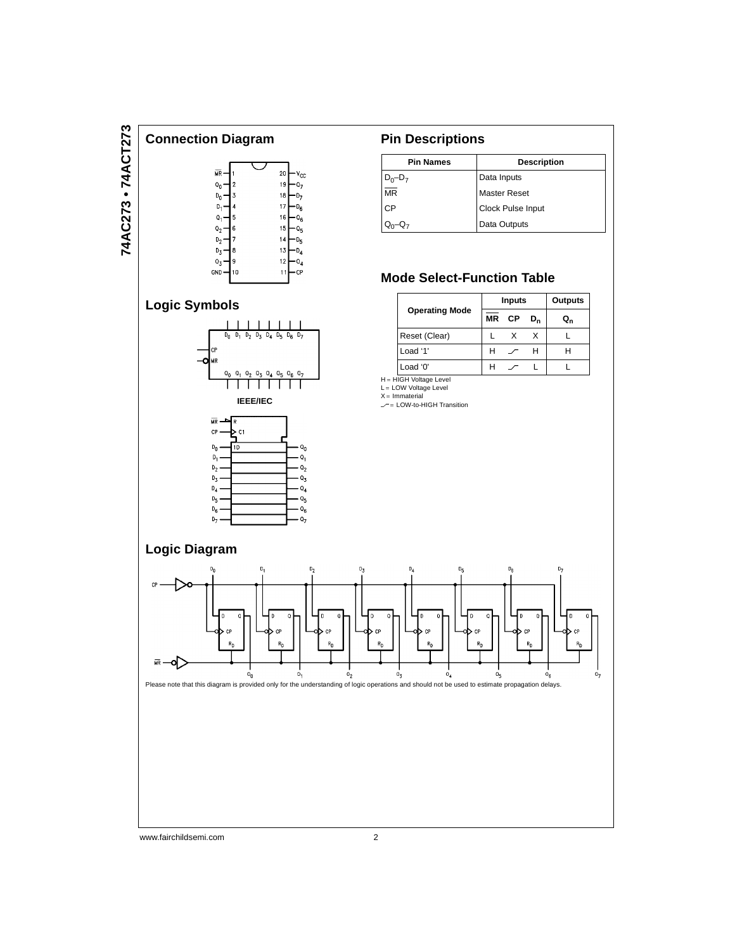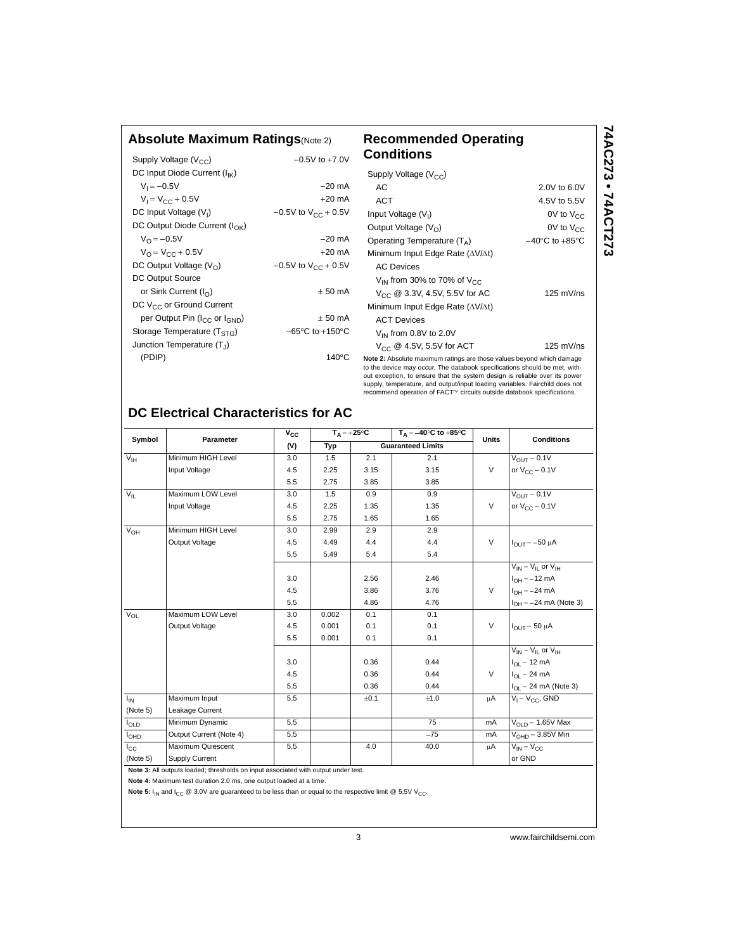#### **Absolute Maximum Ratings**(Note 2) **Recommended Operating**

| Supply Voltage $(V_{CC})$                             | $-0.5V$ to $+7.0V$                  |
|-------------------------------------------------------|-------------------------------------|
| DC Input Diode Current $(I_{IK})$                     |                                     |
| $V_1 = -0.5V$                                         | $-20$ mA                            |
| $V_1 = V_{CC} + 0.5V$                                 | $+20$ mA                            |
| DC Input Voltage (V <sub>I</sub> )                    | $-0.5V$ to $V_{CC}$ + 0.5V          |
| DC Output Diode Current ( $I_{\cap K}$ )              |                                     |
| $V_{\Omega} = -0.5V$                                  | $-20$ mA                            |
| $V_{\Omega} = V_{\Gamma} + 0.5V$                      | $+20 \text{ mA}$                    |
| DC Output Voltage $(V0)$                              | $-0.5V$ to $V_{CC}$ + 0.5V          |
| DC Output Source                                      |                                     |
| or Sink Current $(I_{\cap})$                          | $± 50$ mA                           |
| DC V <sub>CC</sub> or Ground Current                  |                                     |
| per Output Pin (I <sub>CC</sub> or I <sub>GND</sub> ) | $+50 \text{ mA}$                    |
| Storage Temperature ( $TSTG$ )                        | $-65^{\circ}$ C to $+150^{\circ}$ C |
| Junction Temperature $(T_1)$                          |                                     |
| (PDIP)                                                | $140^{\circ}$ C                     |
|                                                       |                                     |

#### **Conditions Note 2:** Absolute maximum ratings are those values beyond which damage Supply Voltage  $(V_{CC})$ AC 2.0V to 6.0V ACT 4.5V to 5.5V Input Voltage  $(V<sub>1</sub>)$ 0V to  $V_{CC}$ Output Voltage  $(V_O)$  0V to  $V_{CC}$ Operating Temperature  $(T_A)$   $-40°C$  to  $+85°C$ Minimum Input Edge Rate  $(\Delta V/\Delta t)$ AC Devices  $V_{\text{IN}}$  from 30% to 70% of  $V_{\text{CC}}$  $V_{CC}$  @ 3.3V, 4.5V, 5.5V for AC 125 mV/ns Minimum Input Edge Rate  $(\Delta V/\Delta t)$ ACT Devices  $V_{IN}$  from 0.8V to 2.0V  $V_{CC}$  @ 4.5V, 5.5V for ACT 125 mV/ns

**74AC273 • 74ACT273**

74AC273 • 74ACT273

to the device may occur. The databook specifications should be met, without exception, to ensure that the system design is reliable over its power supply, temperature, and output/input loading variables. Fairchild does not recommend operation of FACT™ circuits outside databook specifications.

## **DC Electrical Characteristics for AC**

| Symbol           | Parameter                                                                          | $V_{CC}$ | $T_A = +25^{\circ}C$ |      | $T_A = -40^\circ C$ to $+85^\circ C$ | <b>Units</b> | <b>Conditions</b>                        |  |
|------------------|------------------------------------------------------------------------------------|----------|----------------------|------|--------------------------------------|--------------|------------------------------------------|--|
|                  |                                                                                    | (V)      | Typ                  |      | <b>Guaranteed Limits</b>             |              |                                          |  |
| $V_{\text{IH}}$  | Minimum HIGH Level                                                                 | 3.0      | 1.5                  | 2.1  | 2.1                                  |              | $V_{OUT} = 0.1V$                         |  |
|                  | Input Voltage                                                                      | 4.5      | 2.25                 | 3.15 | 3.15                                 | $\vee$       | or $V_{CC}$ – 0.1V                       |  |
|                  |                                                                                    | 5.5      | 2.75                 | 3.85 | 3.85                                 |              |                                          |  |
| $V_{IL}$         | Maximum LOW Level                                                                  | 3.0      | 1.5                  | 0.9  | 0.9                                  |              | $V_{\text{OUT}} = 0.1V$                  |  |
|                  | Input Voltage                                                                      | 4.5      | 2.25                 | 1.35 | 1.35                                 | V            | or $V_{CC}$ – 0.1V                       |  |
|                  |                                                                                    | 5.5      | 2.75                 | 1.65 | 1.65                                 |              |                                          |  |
| $V_{OH}$         | Minimum HIGH Level                                                                 | 3.0      | 2.99                 | 2.9  | 2.9                                  |              |                                          |  |
|                  | Output Voltage                                                                     | 4.5      | 4.49                 | 4.4  | 4.4                                  | $\vee$       | $I_{OUT} = -50 \mu A$                    |  |
|                  |                                                                                    | 5.5      | 5.49                 | 5.4  | 5.4                                  |              |                                          |  |
|                  |                                                                                    |          |                      |      |                                      |              | $V_{IN} = V_{II}$ or $V_{IH}$            |  |
|                  |                                                                                    | 3.0      |                      | 2.56 | 2.46                                 |              | $I_{OH} = -12 \text{ mA}$                |  |
|                  |                                                                                    | 4.5      |                      | 3.86 | 3.76                                 | $\vee$       | $I_{OH} = -24 \text{ mA}$                |  |
|                  |                                                                                    | 5.5      |                      | 4.86 | 4.76                                 |              | $I_{OH} = -24$ mA (Note 3)               |  |
| $V_{OL}$         | Maximum LOW Level                                                                  | 3.0      | 0.002                | 0.1  | 0.1                                  |              |                                          |  |
|                  | Output Voltage                                                                     | 4.5      | 0.001                | 0.1  | 0.1                                  | $\vee$       | $I_{OUT}$ = 50 $\mu$ A                   |  |
|                  |                                                                                    | 5.5      | 0.001                | 0.1  | 0.1                                  |              |                                          |  |
|                  |                                                                                    |          |                      |      |                                      |              | $V_{IN} = V_{II}$ or $V_{IH}$            |  |
|                  |                                                                                    | 3.0      |                      | 0.36 | 0.44                                 |              | $I_{OL}$ = 12 mA                         |  |
|                  |                                                                                    | 4.5      |                      | 0.36 | 0.44                                 | $\vee$       | $I_{OL} = 24 \text{ mA}$                 |  |
|                  |                                                                                    | 5.5      |                      | 0.36 | 0.44                                 |              | $I_{\text{OI}} = 24 \text{ mA}$ (Note 3) |  |
| $I_{IN}$         | Maximum Input                                                                      | 5.5      |                      | ±0.1 | $\pm 1.0$                            | μA           | $V_1 = V_{CC}$ , GND                     |  |
| (Note 5)         | Leakage Current                                                                    |          |                      |      |                                      |              |                                          |  |
| <b>I</b> OLD     | Minimum Dynamic                                                                    | 5.5      |                      |      | $\overline{75}$                      | mA           | $V_{OLD}$ = 1.65V Max                    |  |
| I <sub>OHD</sub> | Output Current (Note 4)                                                            | 5.5      |                      |      | $-75$                                | mA           | $VOHD = 3.85V$ Min                       |  |
| $I_{\rm CC}$     | Maximum Quiescent                                                                  | 5.5      |                      | 4.0  | 40.0                                 | μA           | $V_{IN} = V_{CC}$                        |  |
| (Note 5)         | Supply Current                                                                     |          |                      |      |                                      |              | or GND                                   |  |
|                  | Note 3: All outputs loaded; thresholds on input associated with output under test. |          |                      |      |                                      |              |                                          |  |

**Note 4:** Maximum test duration 2.0 ms, one output loaded at a time.

Note 5:  $I_{IN}$  and  $I_{CC}$  @ 3.0V are guaranteed to be less than or equal to the respective limit @ 5.5V V<sub>CC</sub>.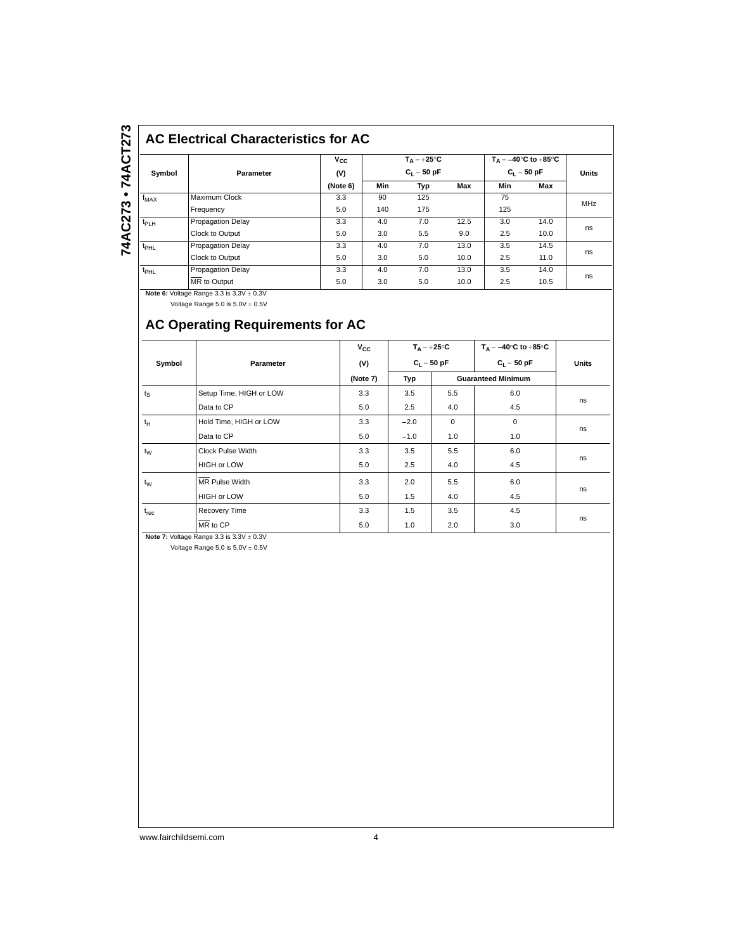# 74AC273 . 74ACT273 **74AC273 • 74ACT273**

## **AC Electrical Characteristics for AC**

|                  | Parameter                | $v_{\rm cc}$ | $T_A = +25^{\circ}C$<br>$C_1 = 50$ pF |     |      | $T_A = -40^{\circ}$ C to $+85^{\circ}$ C<br>$C_1 = 50$ pF |      | <b>Units</b> |
|------------------|--------------------------|--------------|---------------------------------------|-----|------|-----------------------------------------------------------|------|--------------|
| Symbol           |                          | (V)          |                                       |     |      |                                                           |      |              |
|                  |                          | (Note 6)     | Min                                   | Typ | Max  | Min                                                       | Max  |              |
| $f_{MAX}$        | Maximum Clock            | 3.3          | 90                                    | 125 |      | 75                                                        |      | MHz          |
|                  | Frequency                | 5.0          | 140                                   | 175 |      | 125                                                       |      |              |
| $t_{PLH}$        | <b>Propagation Delay</b> | 3.3          | 4.0                                   | 7.0 | 12.5 | 3.0                                                       | 14.0 |              |
|                  | Clock to Output          | 5.0          | 3.0                                   | 5.5 | 9.0  | 2.5                                                       | 10.0 | ns           |
| $t_{\text{PHL}}$ | <b>Propagation Delay</b> | 3.3          | 4.0                                   | 7.0 | 13.0 | 3.5                                                       | 14.5 |              |
|                  | Clock to Output          | 5.0          | 3.0                                   | 5.0 | 10.0 | 2.5                                                       | 11.0 | ns           |
| $t_{\text{PHL}}$ | <b>Propagation Delay</b> | 3.3          | 4.0                                   | 7.0 | 13.0 | 3.5                                                       | 14.0 |              |
|                  | MR to Output             | 5.0          | 3.0                                   | 5.0 | 10.0 | 2.5                                                       | 10.5 | ns           |

**Note 6: Voltage Range 3.3 is 3.3V**  $\pm$  **0.3V** Voltage Range  $5.0$  is  $5.0V \pm 0.5V$ 

## **AC Operating Requirements for AC**

|             |                              | $V_{\rm CC}$ |               | $T_{\Delta} = +25^{\circ}C$ | $T_A = -40^\circ \text{C}$ to $+85^\circ \text{C}$ |              |
|-------------|------------------------------|--------------|---------------|-----------------------------|----------------------------------------------------|--------------|
| Symbol      | Parameter                    | (V)          | $C_1 = 50$ pF |                             | $C_1 = 50 pF$                                      | <b>Units</b> |
|             |                              | (Note 7)     | Typ           | <b>Guaranteed Minimum</b>   |                                                    |              |
| $t_{\rm S}$ | Setup Time, HIGH or LOW      | 3.3          | 3.5           | 5.5                         | 6.0                                                |              |
|             | Data to CP                   | 5.0          | 2.5           | 4.0                         | 4.5                                                | ns           |
| $t_H$       | Hold Time, HIGH or LOW       | 3.3          | $-2.0$        | $\mathbf 0$                 | $\mathbf 0$                                        | ns           |
|             | Data to CP                   | 5.0          | $-1.0$        | 1.0                         | 1.0                                                |              |
| $t_{W}$     | Clock Pulse Width            | 3.3          | 3.5           | 5.5                         | 6.0                                                |              |
|             | <b>HIGH or LOW</b>           | 5.0          | 2.5           | 4.0                         | 4.5                                                | ns           |
| $t_{W}$     | <b>MR</b> Pulse Width        | 3.3          | 2.0           | 5.5                         | 6.0                                                |              |
|             | <b>HIGH or LOW</b>           | 5.0          | 1.5           | 4.0                         | 4.5                                                | ns           |
| $t_{rec}$   | Recovery Time                | 3.3          | 1.5           | 3.5                         | 4.5                                                |              |
|             | $\overline{\text{MR}}$ to CP | 5.0          | 1.0           | 2.0                         | 3.0                                                | ns           |

**Note 7:** Voltage Range  $3.3$  is  $3.3V \pm 0.3V$ 

Voltage Range  $5.0$  is  $5.0V \pm 0.5V$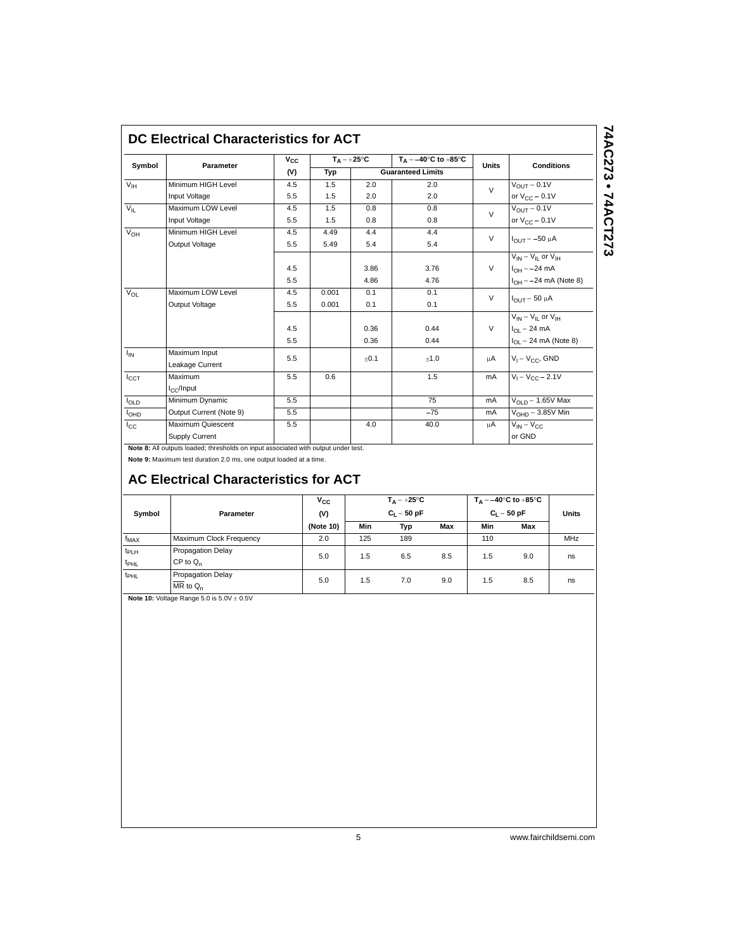| Symbol                 | Parameter               | $V_{CC}$ | $T_A = +25^{\circ}C$ |      | $T_A = -40^\circ C$ to $+85^\circ C$ | <b>Units</b> | <b>Conditions</b>                 |
|------------------------|-------------------------|----------|----------------------|------|--------------------------------------|--------------|-----------------------------------|
|                        |                         | (V)      | Typ                  |      | <b>Guaranteed Limits</b>             |              |                                   |
| $V_{\text{IH}}$        | Minimum HIGH Level      | 4.5      | 1.5                  | 2.0  | 2.0                                  | $\vee$       | $V_{OUT} = 0.1V$                  |
|                        | Input Voltage           | 5.5      | 1.5                  | 2.0  | 2.0                                  |              | or $V_{CC}$ – 0.1V                |
| $V_{\parallel}$        | Maximum LOW Level       | 4.5      | 1.5                  | 0.8  | 0.8                                  | $\vee$       | $V_{\text{OUT}} = 0.1V$           |
|                        | Input Voltage           | 5.5      | 1.5                  | 0.8  | 0.8                                  |              | or $V_{CC}$ – 0.1V                |
| $V_{OH}$               | Minimum HIGH Level      | 4.5      | 4.49                 | 4.4  | 4.4                                  | $\vee$       |                                   |
|                        | Output Voltage          | 5.5      | 5.49                 | 5.4  | 5.4                                  |              | $I_{OUIT} = -50 \mu A$            |
|                        |                         |          |                      |      |                                      |              | $V_{IN} = V_{II}$ or $V_{IH}$     |
|                        |                         | 4.5      |                      | 3.86 | 3.76                                 | $\vee$       | $I_{OH} = -24 \text{ mA}$         |
|                        |                         | 5.5      |                      | 4.86 | 4.76                                 |              | $I_{OH} = -24$ mA (Note 8)        |
| $V_{OL}$               | Maximum LOW Level       | 4.5      | 0.001                | 0.1  | 0.1                                  | $\vee$       |                                   |
|                        | Output Voltage          | 5.5      | 0.001                | 0.1  | 0.1                                  |              | $I_{\text{OUT}}$ = 50 µA          |
|                        |                         |          |                      |      |                                      |              | $V_{IN} = V_{IL}$ or $V_{IH}$     |
|                        |                         | 4.5      |                      | 0.36 | 0.44                                 | $\vee$       | $I_{OL}$ = 24 mA                  |
|                        |                         | 5.5      |                      | 0.36 | 0.44                                 |              | $I_{OL} = 24 \text{ mA}$ (Note 8) |
| $I_{IN}$               | Maximum Input           | 5.5      |                      | ±0.1 | ±1.0                                 | μA           | $V_1 = V_{CC}$ , GND              |
|                        | Leakage Current         |          |                      |      |                                      |              |                                   |
| $I_{\text{CCT}}$       | Maximum                 | 5.5      | 0.6                  |      | 1.5                                  | mA           | $V_1 = V_{CC} - 2.1V$             |
|                        | $I_{\rm CC}/$ Input     |          |                      |      |                                      |              |                                   |
| $I_{OLD}$              | Minimum Dynamic         | 5.5      |                      |      | 75                                   | mA           | $V_{\text{OLD}} = 1.65V$ Max      |
| <b>I<sub>OHD</sub></b> | Output Current (Note 9) | 5.5      |                      |      | $-75$                                | mA           | $V_{\text{OH}D} = 3.85V$ Min      |
| $I_{CC}$               | Maximum Quiescent       | 5.5      |                      | 4.0  | 40.0                                 | uΑ           | $V_{IN} = V_{CC}$                 |
|                        | Supply Current          |          |                      |      |                                      |              | or GND                            |

74AC273 • 74ACT273 **74AC273 • 74ACT273**

**Note 8:** All outputs loaded; thresholds on input associated with output under test.

**Note 9:** Maximum test duration 2.0 ms, one output loaded at a time.

## **AC Electrical Characteristics for ACT**

| Symbol                               | Parameter                          | $v_{\rm cc}$<br>(V) |     | $T_A = +25^{\circ}C$<br>$C_1 = 50$ pF |     |     | $T_A = -40^\circ C$ to $+85^\circ C$<br>$C_1 = 50 pF$ |            |
|--------------------------------------|------------------------------------|---------------------|-----|---------------------------------------|-----|-----|-------------------------------------------------------|------------|
|                                      |                                    | (Note 10)           | Min | Typ                                   | Max | Min | Max                                                   |            |
| $f_{MAX}$                            | Maximum Clock Frequency            | 2.0                 | 125 | 189                                   |     | 110 |                                                       | <b>MHz</b> |
| t <sub>PLH</sub><br>$t_{\text{PHL}}$ | Propagation Delay<br>$CP$ to $Q_n$ | 5.0                 | 1.5 | 6.5                                   | 8.5 | 1.5 | 9.0                                                   | ns         |
| t <sub>PHL</sub>                     | Propagation Delay<br>$MR$ to $Q_n$ | 5.0                 | 1.5 | 7.0                                   | 9.0 | 1.5 | 8.5                                                   | ns         |

**Note 10: Voltage Range 5.0 is**  $5.0V \pm 0.5V$ 

5 www.fairchildsemi.com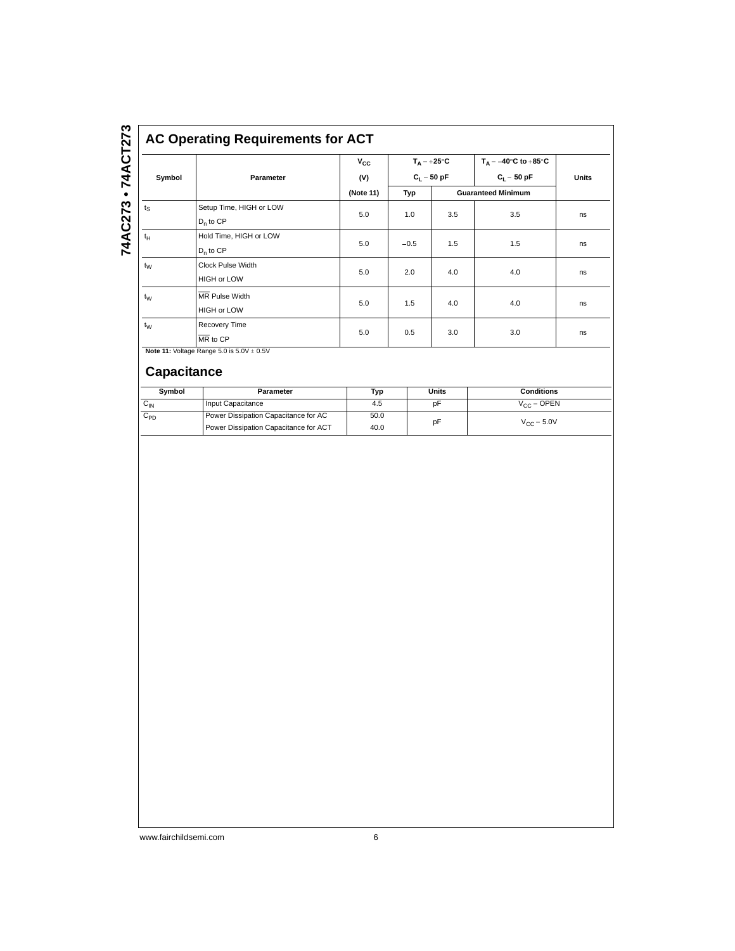|             |                                                        | $V_{CC}$  | $T_A = +25^{\circ}C$ |               | $T_A = -40^\circ \text{C}$ to $+85^\circ \text{C}$ |       |
|-------------|--------------------------------------------------------|-----------|----------------------|---------------|----------------------------------------------------|-------|
| Symbol      | Parameter                                              | (V)       |                      | $C_1 = 50$ pF | $C_1 = 50 pF$                                      | Units |
|             |                                                        | (Note 11) | Typ                  |               | <b>Guaranteed Minimum</b>                          |       |
| $t_{\rm S}$ | Setup Time, HIGH or LOW<br>$D_n$ to $CP$               | 5.0       | 1.0                  | 3.5           | 3.5                                                | ns    |
| $t_H$       | Hold Time, HIGH or LOW<br>$D_n$ to $CP$                | 5.0       | $-0.5$               | 1.5           | 1.5                                                | ns    |
| $t_{\rm W}$ | <b>Clock Pulse Width</b><br><b>HIGH or LOW</b>         | 5.0       | 2.0                  | 4.0           | 4.0                                                | ns    |
| $t_{W}$     | MR Pulse Width<br><b>HIGH or LOW</b>                   | 5.0       | 1.5                  | 4.0           | 4.0                                                | ns    |
| $t_W$       | Recovery Time<br>$\overline{\text{MR}}$ to $\text{CP}$ | 5.0       | 0.5                  | 3.0           | 3.0                                                | ns    |

| Symbol   | Parameter                             | Typ  | Units | <b>Conditions</b>    |
|----------|---------------------------------------|------|-------|----------------------|
| $C_{IN}$ | Input Capacitance                     | 4.5  | рF    | $V_{CC} =$ OPEN      |
| $C_{PD}$ | Power Dissipation Capacitance for AC  | 50.0 | рF    | $V_{\rm CC} = 5.0 V$ |
|          | Power Dissipation Capacitance for ACT | 40.0 |       |                      |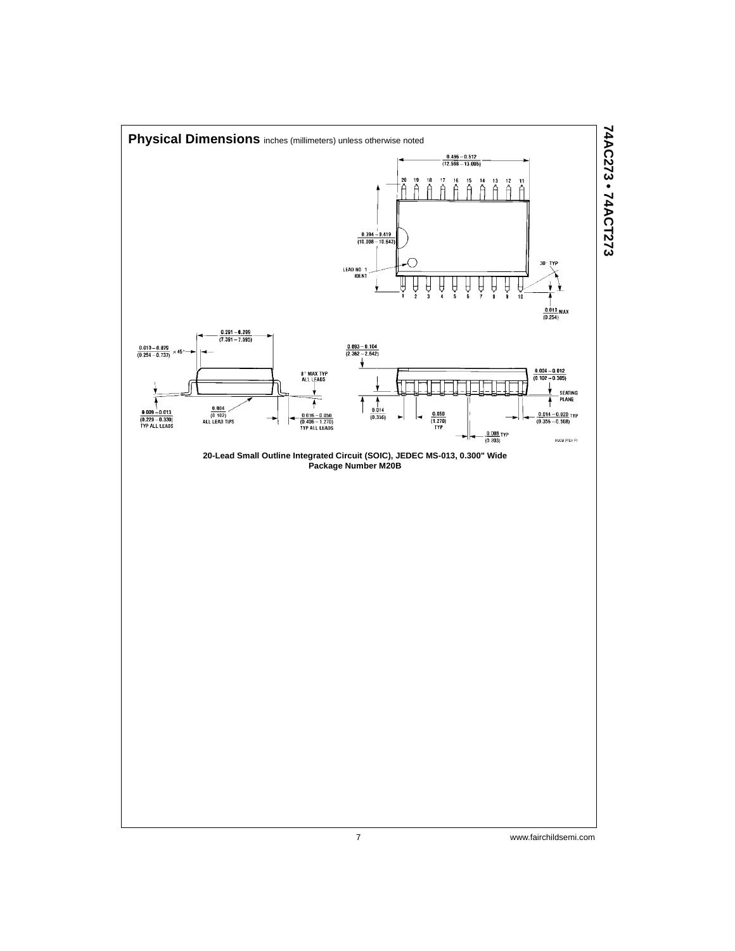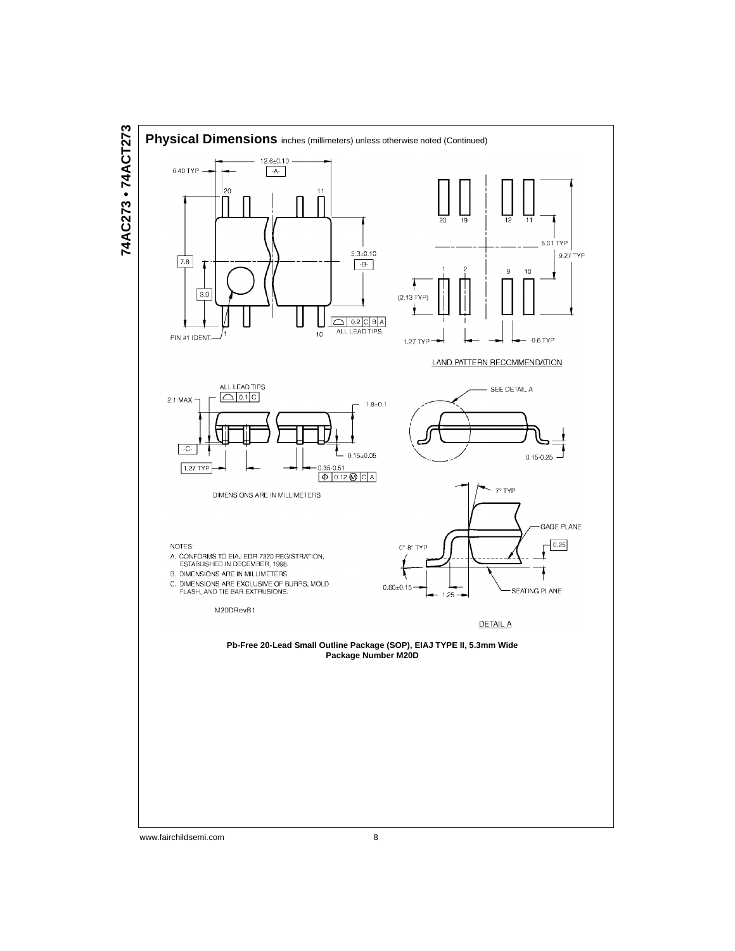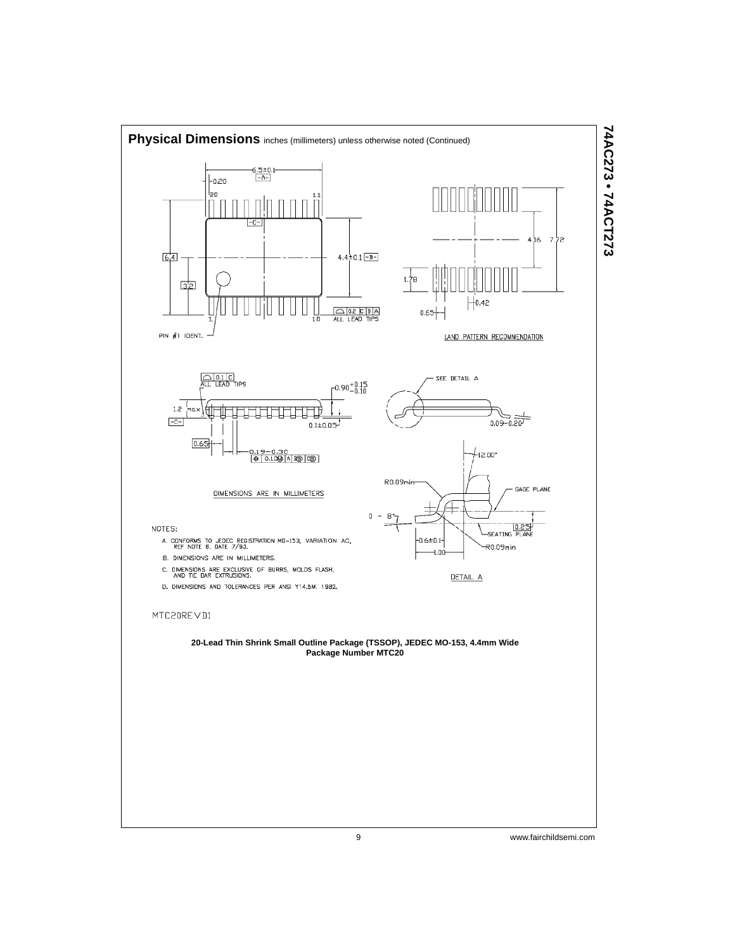

9 www.fairchildsemi.com